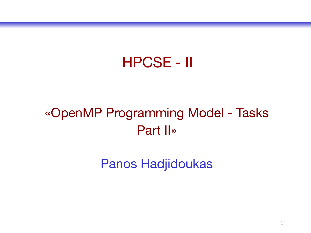### HPCSE - II

#### «OpenMP Programming Model - Tasks Part II»

Panos Hadjidoukas

1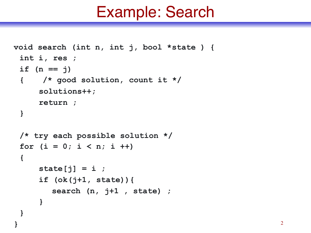```
void search (int n, int j, bool *state ) {
 int i, res ; 
  if (n == j)
  { /* good solution, count it */ 
     solutions++;
     return ; 
  }
  /* try each possible solution */
 for (i = 0; i < n; i +) {
     state[j] = i ;
     if (ok(j+1, state)){
        search (n, j+1 , state) ;
     }
  }
```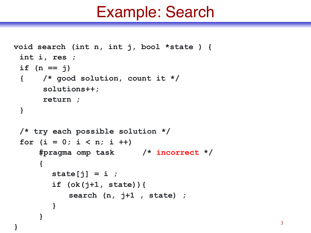```
void search (int n, int j, bool *state ) {
 int i, res ; 
  if (n == j)
  { /* good solution, count it */ 
       solutions++;
      return ; 
  }
  /* try each possible solution */
 for (i = 0; i < n; i +)#pragma omp task /* incorrect */
     {
        state[j] = i ;
        if (ok(j+1, state)){
            search (n, j+1 , state) ;
        }
     }
```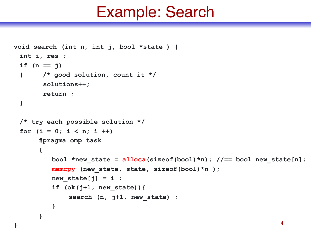```
void search (int n, int j, bool *state ) {
 int i, res ; 
  if (n == j)
  { /* good solution, count it */ 
        solutions++;
       return ; 
  }
  /* try each possible solution */
 for (i = 0; i < n; i +)#pragma omp task
       {
          bool *new state = alloca(sizeof(bool)*n); //== bool new state[n];
          memcpy (new_state, state, sizeof(bool)*n );
          new state[\text{j}] = i ;
          if (ok(j+1, new_state)){
              search (n, j+1, new_state) ;
          }
       }
```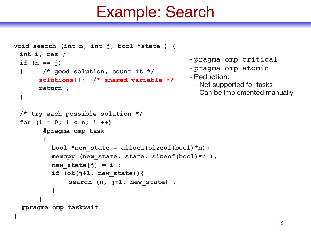```
void search (int n, int j, bool *state ) {
 int i, res ; 
  if (n == j)
  { /* good solution, count it */
      solutions++; /* shared variable */
      return ; 
  }
  /* try each possible solution */
 for (i = 0; i < n; i +) #pragma omp task
         {
          bool *new_state = alloca(sizeof(bool)*n); 
          memcpy (new_state, state, sizeof(bool)*n );
          new state[j] = i ;
          if (ok(j+1, new_state)){
              search (n, j+1, new_state) ;
          }
       }
   #pragma omp taskwait
                                               - pragma omp critical
                                               - pragma omp atomic
                                               - Reduction:
                                                 - Not supported for tasks
                                                 - Can be implemented manually
```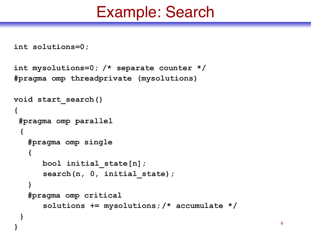```
int solutions=0;
```

```
int mysolutions=0; /* separate counter */ 
#pragma omp threadprivate (mysolutions)
```

```
void start_search()
{
  #pragma omp parallel
  {
    #pragma omp single 
 {
       bool initial_state[n];
      search(n, 0, initial state);
 }
    #pragma omp critical 
       solutions += mysolutions; /* accumulate */
 }
```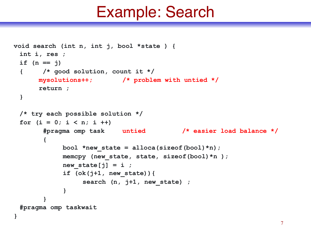```
void search (int n, int j, bool *state ) {
 int i, res ; 
  if (n == j)
  { /* good solution, count it */
      mysolutions++; /* problem with untied */
      return ; 
  }
  /* try each possible solution */
 for (i = 0; i < n; i +) #pragma omp task untied /* easier load balance */
        {
             bool *new_state = alloca(sizeof(bool)*n);
            memcpy (new state, state, sizeof(bool)*n );
            new state[i] = i ;
             if (ok(j+1, new_state)){
                 search (n, j+1, new state) ;
       }
        }
  #pragma omp taskwait
}
```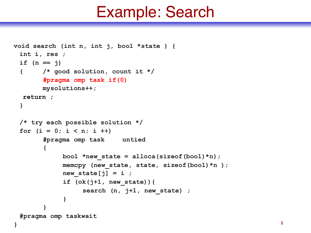```
void search (int n, int j, bool *state ) {
 int i, res ; 
  if (n == j)
  { /* good solution, count it */
      #pragma omp task if(0)
       mysolutions++;
   return ; 
  }
  /* try each possible solution */
 for (i = 0; i < n; i++) #pragma omp task untied
       {
            bool *new_state = alloca(sizeof(bool)*n);
            memcpy (new_state, state, sizeof(bool)*n );
           new state[j] = i ;
            if (ok(j+1, new_state)){
               search (n, j+1, new state) ;
       }
       }
  #pragma omp taskwait
} 8
```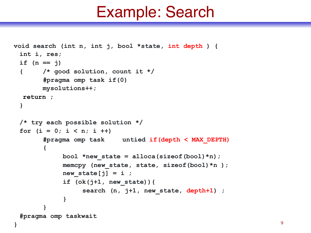```
void search (int n, int j, bool *state, int depth ) {
  int i, res;
  if (n == j)
  { /* good solution, count it */
        #pragma omp task if(0)
        mysolutions++;
   return ; 
  }
  /* try each possible solution */
 for (i = 0; i < n; i +) #pragma omp task untied if(depth < MAX_DEPTH)
         {
              bool *new_state = alloca(sizeof(bool)*n);
              memcpy (new_state, state, sizeof(bool)*n );
             new state[j] = i ;
              if (ok(j+1, new_state)){
                   search (n, j+1, new_state, depth+1) ; 
        }
         }
  #pragma omp taskwait
```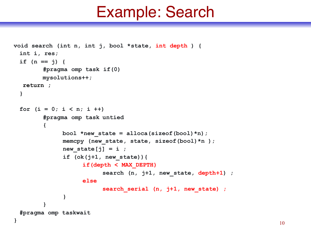```
void search (int n, int j, bool *state, int depth ) {
  int i, res;
  if (n == j) {
        #pragma omp task if(0)
        mysolutions++;
   return ; 
  }
 for (i = 0; i < n; i +) #pragma omp task untied
        {
             bool *new_state = alloca(sizeof(bool)*n);
             memcpy (new_state, state, sizeof(bool)*n );
            new state[j] = i ;
             if (ok(j+1, new_state)){
                  if(depth < MAX_DEPTH)
                      search (n, j+1, new state, depth+1) ;
                  else
                      search serial (n, j+1, new state) ;
       }
        }
  #pragma omp taskwait
} 10
```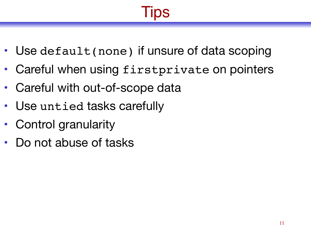# Tips

- Use default (none) if unsure of data scoping
- Careful when using firstprivate on pointers
- Careful with out-of-scope data
- Use untied tasks carefully
- Control granularity
- Do not abuse of tasks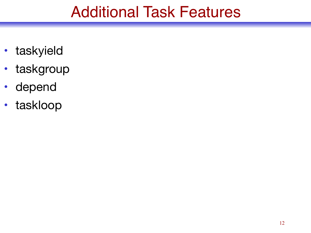### Additional Task Features

- taskyield
- taskgroup
- depend
- taskloop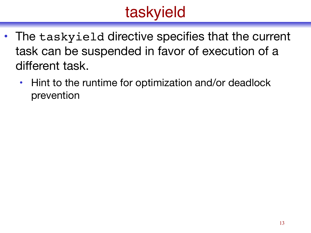## taskyield

- The taskyield directive specifies that the current task can be suspended in favor of execution of a different task.
	- Hint to the runtime for optimization and/or deadlock prevention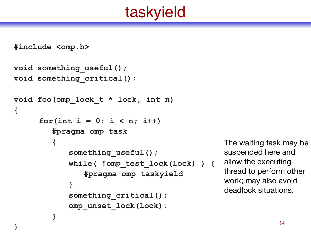## taskyield

**#include <omp.h>** 

**}** 

```
void something_useful(); 
void something_critical(); 
void foo(omp_lock_t * lock, int n) 
{ 
      for(int i = 0; i < n; i++) 
         #pragma omp task 
         { 
            something_useful(); 
            while( !omp_test_lock(lock) ) { 
                #pragma omp taskyield 
             } 
             something_critical(); 
            omp_unset_lock(lock); 
         }
```
The waiting task may be suspended here and allow the executing thread to perform other work; may also avoid deadlock situations.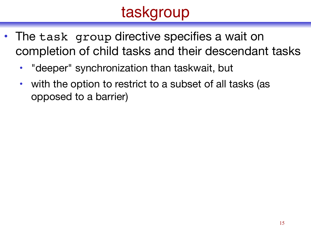- The task group directive specifies a wait on completion of child tasks and their descendant tasks
	- "deeper" synchronization than taskwait, but
	- with the option to restrict to a subset of all tasks (as opposed to a barrier)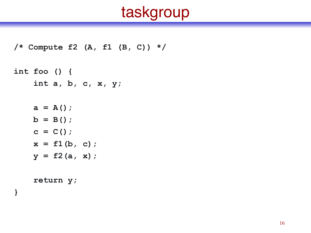```
/* Compute f2 (A, f1 (B, C)) */
```

```
int foo () { 
     int a, b, c, x, y;
```
 $a = A()$ ;  $b = B()$ ;  $c = C()$ ;  $x = f1(b, c);$  $y = f2(a, x);$ 

 **return y;**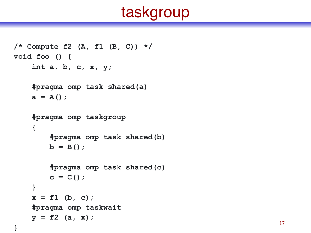```
/* Compute f2 (A, f1 (B, C)) */ 
void foo () { 
     int a, b, c, x, y; 
     #pragma omp task shared(a) 
    a = A();
     #pragma omp taskgroup 
     { 
          #pragma omp task shared(b) 
        b = B();
          #pragma omp task shared(c) 
        c = C();
     } 
    x = f1 (b, c);
     #pragma omp taskwait 
    y = f2 (a, x);
```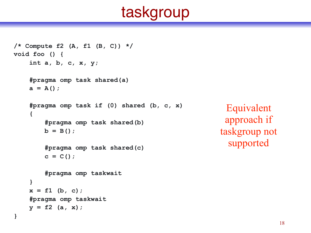```
/* Compute f2 (A, f1 (B, C)) */
void foo () {
     int a, b, c, x, y; 
     #pragma omp task shared(a) 
    a = A();
     #pragma omp task if (0) shared (b, c, x) 
     { 
         #pragma omp task shared(b) 
        b = B();
         #pragma omp task shared(c) 
        c = C();
         #pragma omp taskwait
     } 
    x = f1 (b, c);
     #pragma omp taskwait
    y = f2 (a, x);
}
```
Equivalent approach if taskgroup not supported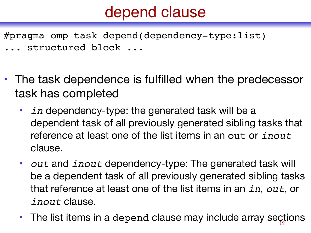## depend clause

#pragma omp task depend(dependency-type:list) ... structured block ...

- The task dependence is fulfilled when the predecessor task has completed
	- *in* dependency-type: the generated task will be a dependent task of all previously generated sibling tasks that reference at least one of the list items in an out or *inout* clause.
	- *out* and *inout* dependency-type: The generated task will be a dependent task of all previously generated sibling tasks that reference at least one of the list items in an *in*, *out*, or *inout* clause.
	- The list items in a depend clause may include array sections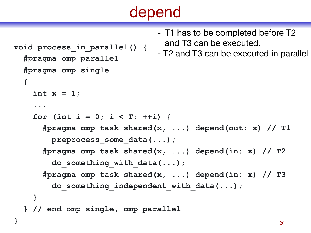```
void process_in_parallel() { 
   #pragma omp parallel 
   #pragma omp single 
   {
    int x = 1;
     ... 
    for (int i = 0; i < T; ++i) {
       #pragma omp task shared(x, ...) depend(out: x) // T1
         preprocess_some_data(...); 
       #pragma omp task shared(x, ...) depend(in: x) // T2
         do_something_with_data(...); 
       #pragma omp task shared(x, ...) depend(in: x) // T3
        do something independent with data(...);
 } 
   } // end omp single, omp parallel 
                                 - T1 has to be completed before T2 
                                  and T3 can be executed. 
                                 - T2 and T3 can be executed in parallel
```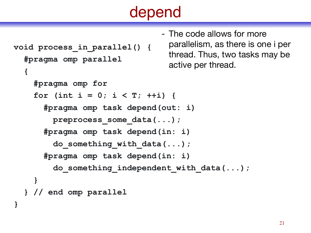- The code allows for more

```
void process_in_parallel() { 
   #pragma omp parallel 
   { 
     #pragma omp for 
    for (int i = 0; i < T; ++i) {
       #pragma omp task depend(out: i) 
          preprocess_some_data(...); 
       #pragma omp task depend(in: i) 
          do_something_with_data(...); 
       #pragma omp task depend(in: i) 
          do_something_independent_with_data(...); 
 } 
   } // end omp parallel 
}
                                    parallelism, as there is one i per 
                                    thread. Thus, two tasks may be 
                                    active per thread.
```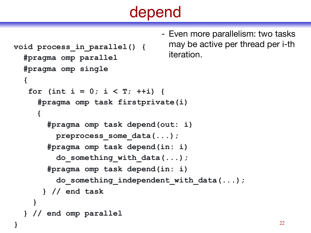- Even more parallelism: two tasks

```
void process_in_parallel() { 
   #pragma omp parallel
   #pragma omp single 
   { 
   for (int i = 0; i < T; ++i) {
      #pragma omp task firstprivate(i) 
     {
        #pragma omp task depend(out: i) 
          preprocess_some_data(...); 
        #pragma omp task depend(in: i) 
          do_something_with_data(...); 
        #pragma omp task depend(in: i) 
         do something independent with data(...);
       } // end task
 } 
   } // end omp parallel 
                                    may be active per thread per i-th 
                                    iteration.
```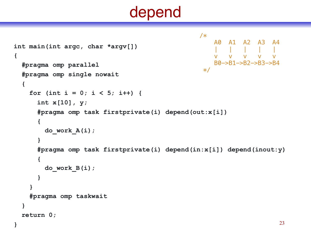```
int main(int argc, char *argv[]) 
{ 
   #pragma omp parallel 
   #pragma omp single nowait 
   { 
    for (int i = 0; i < 5; i++) {
       int x[10], y; 
       #pragma omp task firstprivate(i) depend(out:x[i]) 
       { 
         do_work_A(i); 
 }
       #pragma omp task firstprivate(i) depend(in:x[i]) depend(inout:y) 
       {
         do_work_B(i);
 } 
 } 
     #pragma omp taskwait 
   } 
   return 0; 
                                                 /* 
                                                      A0 A1 A2 A3 A4 
                                                  | | | | | 
                                                  v v v v v 
                                                      B0->B1->B2->B3->B4 
                                                  *
```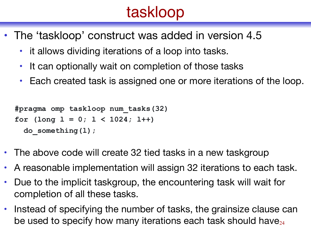## taskloop

- The 'taskloop' construct was added in version 4.5
	- it allows dividing iterations of a loop into tasks.
	- It can optionally wait on completion of those tasks
	- Each created task is assigned one or more iterations of the loop.

```
#pragma omp taskloop num_tasks(32) 
for (long l = 0; l < 1024; l++) 
   do_something(l);
```
- The above code will create 32 tied tasks in a new taskgroup
- A reasonable implementation will assign 32 iterations to each task.
- Due to the implicit taskgroup, the encountering task will wait for completion of all these tasks.
- Instead of specifying the number of tasks, the grainsize clause can be used to specify how many iterations each task should have $_{24}$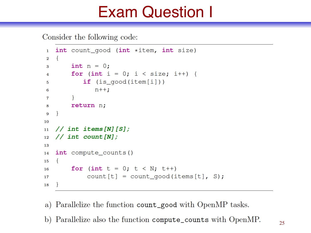## Exam Question I

Consider the following code:

```
int count good (int *item, int size)
\mathbf{1}\{\overline{2}int n = 0;3
         for (int i = 0; i < size; i++) {
\overline{4}if (is_qood(item[i]))5
                 n++;6
\mathbf{7}return n;
8
   <sup>}</sup>
9
10
   // int items [N] [S];
11
   // int count [N];
12
13
   int compute_counts()
14
    \mathcal{L}15
         for (int t = 0; t < N; t++)
16
              count[t] = count_qood(items[t], S);17
18
```
a) Parallelize the function count\_good with OpenMP tasks.

b) Parallelize also the function compute\_counts with OpenMP.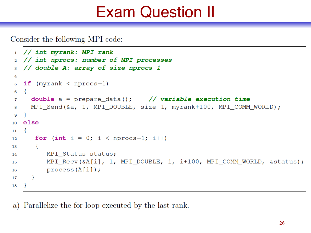## Exam Question II

Consider the following MPI code:

```
1 // int myrank: MPI rank
   // int nprocs: number of MPI processes
\overline{2}// double A: array of size nprocs-1
3
4
   if (myrank \langle nprocs-1)
5
6
     double a = prepare_data(); // variable execution time
7
     MPI Send (&a, 1, MPI DOUBLE, size-1, myrank+100, MPI COMM WORLD);
8
   \mathcal{F}\mathbf{Q}else
10<sup>1</sup>\{11
      for (int i = 0; i < nprocs-1; i++)
12
       \{13
          MPI_Status status;
14
          MPI_Recv(&A[i], 1, MPI_DOUBLE, i, i+100, MPI_COMM_WORLD, & status);
15
          process(A[i]);
16
17
18
```
a) Parallelize the for loop executed by the last rank.